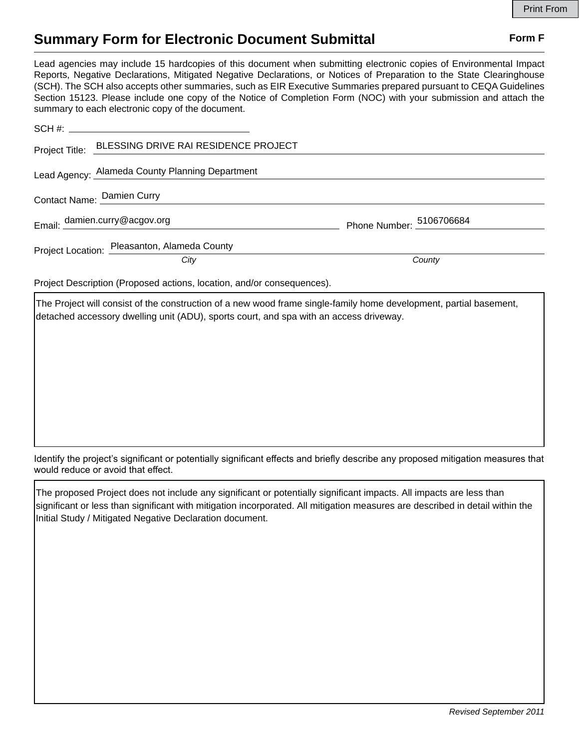## **Summary Form for Electronic Document Submittal Form F Form F**

Lead agencies may include 15 hardcopies of this document when submitting electronic copies of Environmental Impact Reports, Negative Declarations, Mitigated Negative Declarations, or Notices of Preparation to the State Clearinghouse (SCH). The SCH also accepts other summaries, such as EIR Executive Summaries prepared pursuant to CEQA Guidelines Section 15123. Please include one copy of the Notice of Completion Form (NOC) with your submission and attach the summary to each electronic copy of the document.

|                                                                        | Project Title: BLESSING DRIVE RAI RESIDENCE PROJECT |                          |
|------------------------------------------------------------------------|-----------------------------------------------------|--------------------------|
|                                                                        | Lead Agency: Alameda County Planning Department     |                          |
|                                                                        | Contact Name: Damien Curry                          |                          |
|                                                                        | Email: damien.curry@acgov.org                       | Phone Number: 5106706684 |
|                                                                        | Project Location: Pleasanton, Alameda County        |                          |
|                                                                        | City                                                | County                   |
| Project Description (Proposed actions, location, and/or consequences). |                                                     |                          |

The Project will consist of the construction of a new wood frame single-family home development, partial basement, detached accessory dwelling unit (ADU), sports court, and spa with an access driveway.

Identify the project's significant or potentially significant effects and briefly describe any proposed mitigation measures that would reduce or avoid that effect.

The proposed Project does not include any significant or potentially significant impacts. All impacts are less than significant or less than significant with mitigation incorporated. All mitigation measures are described in detail within the Initial Study / Mitigated Negative Declaration document.